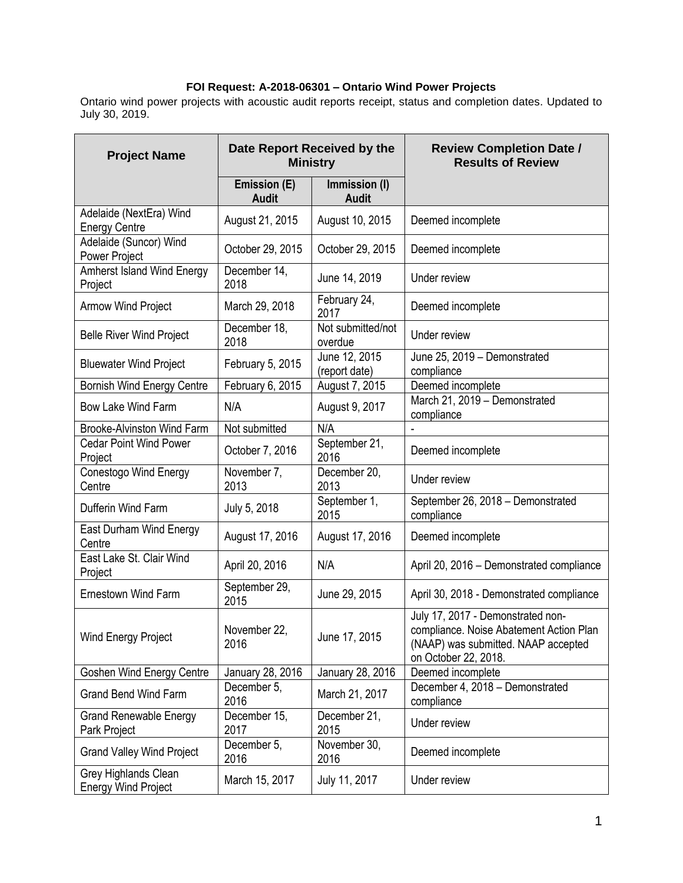## **FOI Request: A-2018-06301 – Ontario Wind Power Projects**

Ontario wind power projects with acoustic audit reports receipt, status and completion dates. Updated to July 30, 2019.

| <b>Project Name</b>                                | Date Report Received by the<br><b>Ministry</b> |                                | <b>Review Completion Date /</b><br><b>Results of Review</b>                                                                                 |
|----------------------------------------------------|------------------------------------------------|--------------------------------|---------------------------------------------------------------------------------------------------------------------------------------------|
|                                                    | Emission (E)<br><b>Audit</b>                   | Immission (I)<br><b>Audit</b>  |                                                                                                                                             |
| Adelaide (NextEra) Wind<br><b>Energy Centre</b>    | August 21, 2015                                | August 10, 2015                | Deemed incomplete                                                                                                                           |
| Adelaide (Suncor) Wind<br>Power Project            | October 29, 2015                               | October 29, 2015               | Deemed incomplete                                                                                                                           |
| <b>Amherst Island Wind Energy</b><br>Project       | December 14,<br>2018                           | June 14, 2019                  | Under review                                                                                                                                |
| <b>Armow Wind Project</b>                          | March 29, 2018                                 | February 24,<br>2017           | Deemed incomplete                                                                                                                           |
| <b>Belle River Wind Project</b>                    | December 18,<br>2018                           | Not submitted/not<br>overdue   | Under review                                                                                                                                |
| <b>Bluewater Wind Project</b>                      | February 5, 2015                               | June 12, 2015<br>(report date) | June 25, 2019 - Demonstrated<br>compliance                                                                                                  |
| <b>Bornish Wind Energy Centre</b>                  | February 6, 2015                               | August 7, 2015                 | Deemed incomplete                                                                                                                           |
| <b>Bow Lake Wind Farm</b>                          | N/A                                            | August 9, 2017                 | March 21, 2019 - Demonstrated<br>compliance                                                                                                 |
| Brooke-Alvinston Wind Farm                         | Not submitted                                  | N/A                            |                                                                                                                                             |
| <b>Cedar Point Wind Power</b><br>Project           | October 7, 2016                                | September 21,<br>2016          | Deemed incomplete                                                                                                                           |
| <b>Conestogo Wind Energy</b><br>Centre             | November 7,<br>2013                            | December 20,<br>2013           | Under review                                                                                                                                |
| Dufferin Wind Farm                                 | July 5, 2018                                   | September 1,<br>2015           | September 26, 2018 - Demonstrated<br>compliance                                                                                             |
| East Durham Wind Energy<br>Centre                  | August 17, 2016                                | August 17, 2016                | Deemed incomplete                                                                                                                           |
| East Lake St. Clair Wind<br>Project                | April 20, 2016                                 | N/A                            | April 20, 2016 - Demonstrated compliance                                                                                                    |
| <b>Ernestown Wind Farm</b>                         | September 29,<br>2015                          | June 29, 2015                  | April 30, 2018 - Demonstrated compliance                                                                                                    |
| Wind Energy Project                                | November 22,<br>2016                           | June 17, 2015                  | July 17, 2017 - Demonstrated non-<br>compliance. Noise Abatement Action Plan<br>(NAAP) was submitted. NAAP accepted<br>on October 22, 2018. |
| <b>Goshen Wind Energy Centre</b>                   | January 28, 2016                               | January 28, 2016               | Deemed incomplete                                                                                                                           |
| <b>Grand Bend Wind Farm</b>                        | December 5,<br>2016                            | March 21, 2017                 | December 4, 2018 - Demonstrated<br>compliance                                                                                               |
| <b>Grand Renewable Energy</b><br>Park Project      | December 15,<br>2017                           | December 21,<br>2015           | Under review                                                                                                                                |
| <b>Grand Valley Wind Project</b>                   | December 5,<br>2016                            | November 30,<br>2016           | Deemed incomplete                                                                                                                           |
| Grey Highlands Clean<br><b>Energy Wind Project</b> | March 15, 2017                                 | July 11, 2017                  | Under review                                                                                                                                |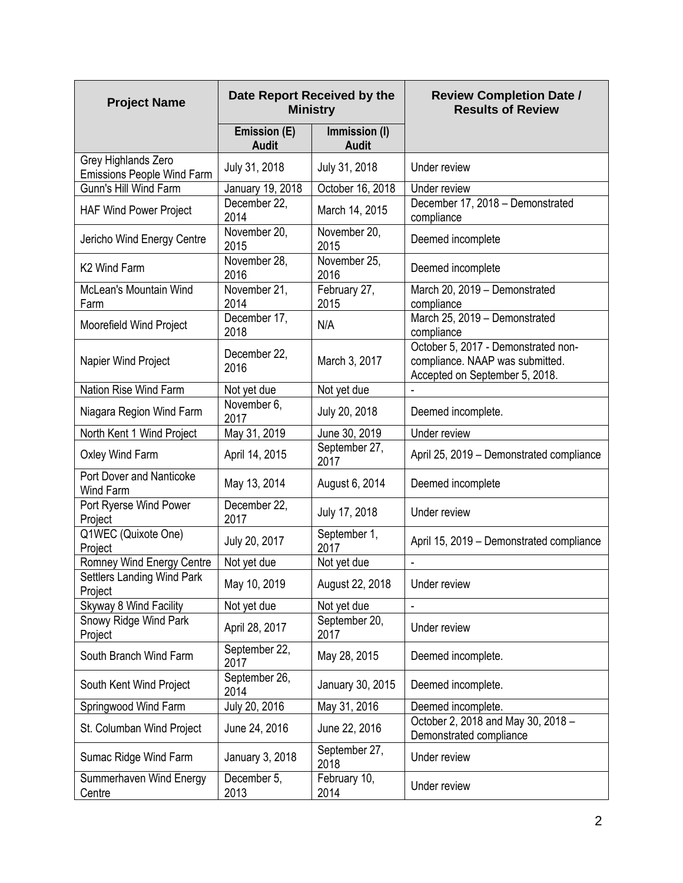| <b>Project Name</b>                                      | Date Report Received by the<br><b>Ministry</b> |                               | <b>Review Completion Date /</b><br><b>Results of Review</b>                                              |
|----------------------------------------------------------|------------------------------------------------|-------------------------------|----------------------------------------------------------------------------------------------------------|
|                                                          | <b>Emission (E)</b><br><b>Audit</b>            | Immission (I)<br><b>Audit</b> |                                                                                                          |
| Grey Highlands Zero<br><b>Emissions People Wind Farm</b> | July 31, 2018                                  | July 31, 2018                 | Under review                                                                                             |
| Gunn's Hill Wind Farm                                    | January 19, 2018                               | October 16, 2018              | Under review                                                                                             |
| <b>HAF Wind Power Project</b>                            | December 22,<br>2014                           | March 14, 2015                | December 17, 2018 - Demonstrated<br>compliance                                                           |
| Jericho Wind Energy Centre                               | November 20,<br>2015                           | November 20,<br>2015          | Deemed incomplete                                                                                        |
| K <sub>2</sub> Wind Farm                                 | November 28,<br>2016                           | November 25,<br>2016          | Deemed incomplete                                                                                        |
| McLean's Mountain Wind<br>Farm                           | November 21,<br>2014                           | February 27,<br>2015          | March 20, 2019 - Demonstrated<br>compliance                                                              |
| Moorefield Wind Project                                  | December 17,<br>2018                           | N/A                           | March 25, 2019 - Demonstrated<br>compliance                                                              |
| Napier Wind Project                                      | December 22,<br>2016                           | March 3, 2017                 | October 5, 2017 - Demonstrated non-<br>compliance. NAAP was submitted.<br>Accepted on September 5, 2018. |
| Nation Rise Wind Farm                                    | Not yet due                                    | Not yet due                   |                                                                                                          |
| Niagara Region Wind Farm                                 | November 6,<br>2017                            | July 20, 2018                 | Deemed incomplete.                                                                                       |
| North Kent 1 Wind Project                                | May 31, 2019                                   | June 30, 2019                 | Under review                                                                                             |
| Oxley Wind Farm                                          | April 14, 2015                                 | September 27,<br>2017         | April 25, 2019 - Demonstrated compliance                                                                 |
| Port Dover and Nanticoke<br>Wind Farm                    | May 13, 2014                                   | August 6, 2014                | Deemed incomplete                                                                                        |
| Port Ryerse Wind Power<br>Project                        | December 22,<br>2017                           | July 17, 2018                 | Under review                                                                                             |
| Q1WEC (Quixote One)<br>Project                           | July 20, 2017                                  | September 1,<br>2017          | April 15, 2019 - Demonstrated compliance                                                                 |
| Romney Wind Energy Centre                                | Not yet due                                    | Not yet due                   | ÷,                                                                                                       |
| <b>Settlers Landing Wind Park</b><br>Project             | May 10, 2019                                   | August 22, 2018               | Under review                                                                                             |
| Skyway 8 Wind Facility                                   | Not yet due                                    | Not yet due                   |                                                                                                          |
| Snowy Ridge Wind Park<br>Project                         | April 28, 2017                                 | September 20,<br>2017         | Under review                                                                                             |
| South Branch Wind Farm                                   | September 22,<br>2017                          | May 28, 2015                  | Deemed incomplete.                                                                                       |
| South Kent Wind Project                                  | September 26,<br>2014                          | January 30, 2015              | Deemed incomplete.                                                                                       |
| Springwood Wind Farm                                     | July 20, 2016                                  | May 31, 2016                  | Deemed incomplete.                                                                                       |
| St. Columban Wind Project                                | June 24, 2016                                  | June 22, 2016                 | October 2, 2018 and May 30, 2018 -<br>Demonstrated compliance                                            |
| Sumac Ridge Wind Farm                                    | January 3, 2018                                | September 27,<br>2018         | Under review                                                                                             |
| Summerhaven Wind Energy<br>Centre                        | December 5,<br>2013                            | February 10,<br>2014          | Under review                                                                                             |